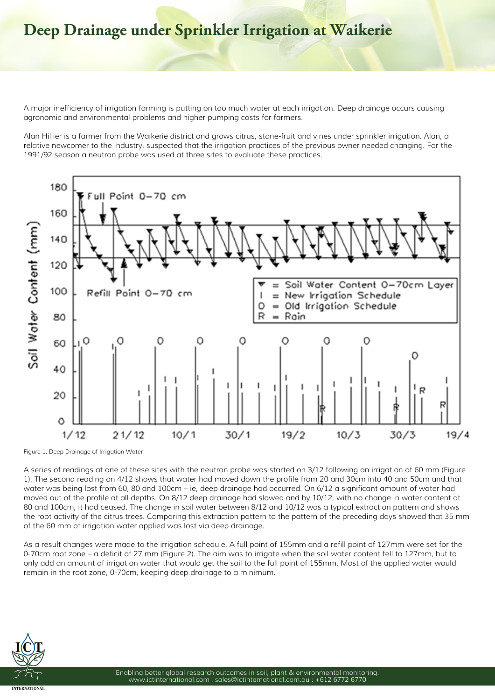## **Deep Drainage under Sprinkler Irrigation at Waikerie**

A major inefficiency of irrigation farming is putting on too much water at each irrigation. Deep drainage occurs causing agronomic and environmental problems and higher pumping costs for farmers.

Alan Hillier is a farmer from the Waikerie district and grows citrus, stone-fruit and vines under sprinkler irrigation. Alan, a relative newcomer to the industry, suspected that the irrigation practices of the previous owner needed changing. For the 1991/92 season a neutron probe was used at three sites to evaluate these practices.



**Figure 1. Deep Drainage of Irrigation Water**

A series of readings at one of these sites with the neutron probe was started on 3/12 following an irrigation of 60 mm (Figure 1). The second reading on 4/12 shows that water had moved down the profile from 20 and 30cm into 40 and 50cm and that water was being lost from 60, 80 and 100cm – ie, deep drainage had occurred. On 6/12 a significant amount of water had moved out of the profile at all depths. On 8/12 deep drainage had slowed and by 10/12, with no change in water content at 80 and 100cm, it had ceased. The change in soil water between 8/12 and 10/12 was a typical extraction pattern and shows the root activity of the citrus trees. Comparing this extraction pattern to the pattern of the preceding days showed that 35 mm of the 60 mm of irrigation water applied was lost via deep drainage.

As a result changes were made to the irrigation schedule. A full point of 155mm and a refill point of 127mm were set for the 0-70cm root zone – a deficit of 27 mm (Figure 2). The aim was to irrigate when the soil water content fell to 127mm, but to only add an amount of irrigation water that would get the soil to the full point of 155mm. Most of the applied water would remain in the root zone, 0-70cm, keeping deep drainage to a minimum.